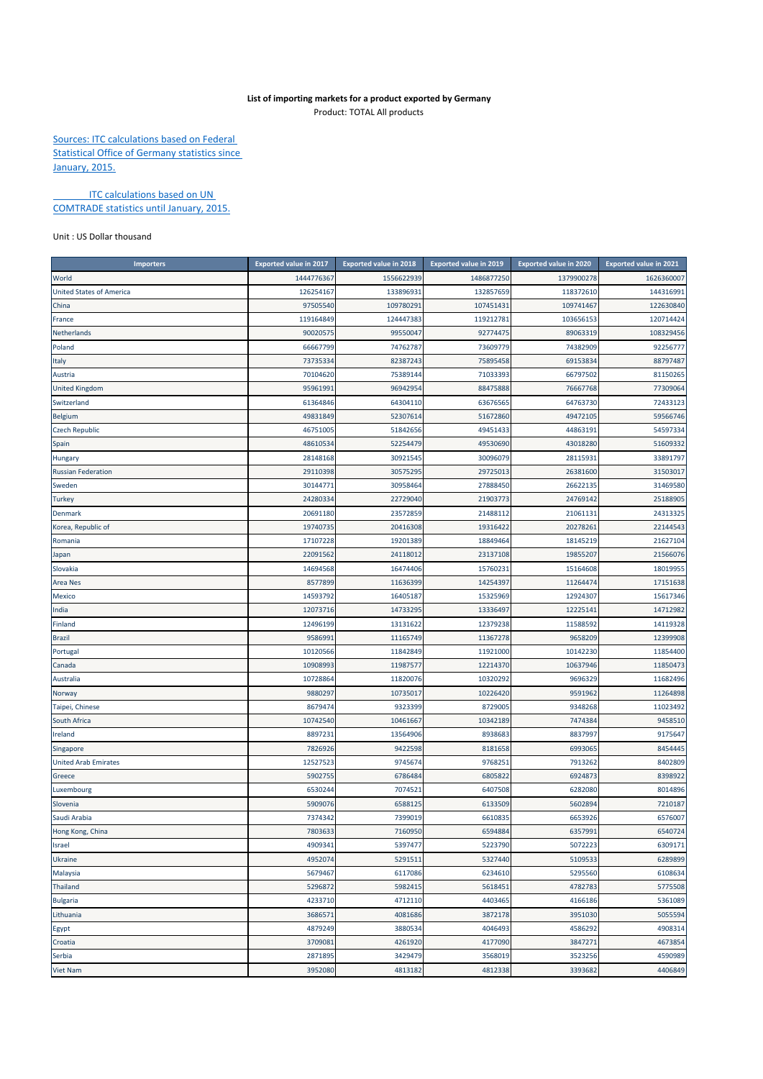## **List of importing markets for a product exported by Germany** Product: TOTAL All products

Sources: ITC calculations based on Federal Statistical Office of Germany statistics since January, 2015.

**ITC calculations based on UN** COMTRADE statistics until January, 2015.

Unit : US Dollar thousand

| <b>Importers</b>                | <b>Exported value in 2017</b> | <b>Exported value in 2018</b> | <b>Exported value in 2019</b> | <b>Exported value in 2020</b> | <b>Exported value in 2021</b> |
|---------------------------------|-------------------------------|-------------------------------|-------------------------------|-------------------------------|-------------------------------|
| World                           | 1444776367                    | 1556622939                    | 1486877250                    | 1379900278                    | 1626360007                    |
| <b>United States of America</b> | 126254167                     | 133896931                     | 132857659                     | 118372610                     | 144316991                     |
| China                           | 97505540                      | 109780291                     | 107451431                     | 109741467                     | 122630840                     |
| France                          | 119164849                     | 124447383                     | 119212781                     | 103656153                     | 120714424                     |
| Netherlands                     | 90020575                      | 99550047                      | 92774475                      | 89063319                      | 108329456                     |
| Poland                          | 66667799                      | 74762787                      | 73609779                      | 74382909                      | 92256777                      |
| Italy                           | 73735334                      | 82387243                      | 75895458                      | 69153834                      | 88797487                      |
| Austria                         | 70104620                      | 75389144                      | 71033393                      | 66797502                      | 81150265                      |
| <b>United Kingdom</b>           | 95961991                      | 96942954                      | 88475888                      | 76667768                      | 77309064                      |
| Switzerland                     | 61364846                      | 64304110                      | 63676565                      | 64763730                      | 72433123                      |
| <b>Belgium</b>                  | 49831849                      | 52307614                      | 51672860                      | 49472105                      | 59566746                      |
| <b>Czech Republic</b>           | 46751005                      | 51842656                      | 49451433                      | 44863191                      | 54597334                      |
| Spain                           | 48610534                      | 52254479                      | 49530690                      | 43018280                      | 51609332                      |
| Hungary                         | 28148168                      | 30921545                      | 30096079                      | 28115931                      | 33891797                      |
| <b>Russian Federation</b>       | 29110398                      | 30575295                      | 29725013                      | 26381600                      | 31503017                      |
| Sweden                          | 30144771                      | 30958464                      | 27888450                      | 26622135                      | 31469580                      |
| <b>Turkey</b>                   | 24280334                      | 22729040                      | 21903773                      | 24769142                      | 25188905                      |
| Denmark                         | 20691180                      | 23572859                      | 21488112                      | 21061131                      | 24313325                      |
| Korea, Republic of              | 19740735                      | 20416308                      | 19316422                      | 20278261                      | 22144543                      |
| Romania                         | 17107228                      | 19201389                      | 18849464                      | 18145219                      | 21627104                      |
| Japan                           | 22091562                      | 24118012                      | 23137108                      | 19855207                      | 21566076                      |
| Slovakia                        | 14694568                      | 16474406                      | 15760231                      | 15164608                      | 18019955                      |
| <b>Area Nes</b>                 | 8577899                       | 11636399                      | 14254397                      | 11264474                      | 17151638                      |
| <b>Mexico</b>                   | 14593792                      | 16405187                      | 15325969                      | 12924307                      | 15617346                      |
| India                           | 12073716                      | 14733295                      | 13336497                      | 12225141                      | 14712982                      |
| Finland                         | 12496199                      | 13131622                      | 12379238                      | 11588592                      | 14119328                      |
| <b>Brazil</b>                   | 9586991                       | 11165749                      | 11367278                      | 9658209                       | 12399908                      |
| Portugal                        | 10120566                      | 11842849                      | 11921000                      | 10142230                      | 11854400                      |
| Canada                          | 10908993                      | 11987577                      | 12214370                      | 10637946                      | 11850473                      |
| Australia                       | 10728864                      | 11820076                      | 10320292                      | 9696329                       | 11682496                      |
| Norway                          | 9880297                       | 10735017                      | 10226420                      | 9591962                       | 11264898                      |
| Taipei, Chinese                 | 8679474                       | 9323399                       | 8729005                       | 9348268                       | 11023492                      |
| South Africa                    | 10742540                      | 10461667                      | 10342189                      | 7474384                       | 9458510                       |
| Ireland                         | 8897231                       | 13564906                      | 8938683                       | 8837997                       | 9175647                       |
| Singapore                       | 7826926                       | 9422598                       | 8181658                       | 6993065                       | 8454445                       |
| <b>United Arab Emirates</b>     | 12527523                      | 9745674                       | 9768251                       | 7913262                       | 8402809                       |
| Greece                          | 5902755                       | 6786484                       | 6805822                       | 6924873                       | 8398922                       |
| Luxembourg                      | 6530244                       | 7074521                       | 6407508                       | 6282080                       | 8014896                       |
| Slovenia                        | 5909076                       | 6588125                       | 6133509                       | 5602894                       | 7210187                       |
| Saudi Arabia                    | 7374342                       | 7399019                       | 6610835                       | 6653926                       | 6576007                       |
| Hong Kong, China                | 7803633                       | 7160950                       | 6594884                       | 6357991                       | 6540724                       |
| Israel                          | 4909341                       | 5397477                       | 5223790                       | 5072223                       | 6309171                       |
| Ukraine                         | 4952074                       | 5291511                       | 5327440                       | 5109533                       | 6289899                       |
| Malaysia                        | 5679467                       | 6117086                       | 6234610                       | 5295560                       | 6108634                       |
| <b>Thailand</b>                 | 5296872                       | 5982415                       | 5618451                       | 4782783                       | 5775508                       |
| <b>Bulgaria</b>                 | 4233710                       | 4712110                       | 4403465                       | 4166186                       | 5361089                       |
| Lithuania                       | 3686571                       | 4081686                       | 3872178                       | 3951030                       | 5055594                       |
| Egypt                           | 4879249                       | 3880534                       | 4046493                       | 4586292                       | 4908314                       |
| Croatia                         | 3709081                       | 4261920                       | 4177090                       | 3847271                       | 4673854                       |
| Serbia                          | 2871895                       | 3429479                       | 3568019                       | 3523256                       | 4590989                       |
| Viet Nam                        | 3952080                       | 4813182                       | 4812338                       | 3393682                       | 4406849                       |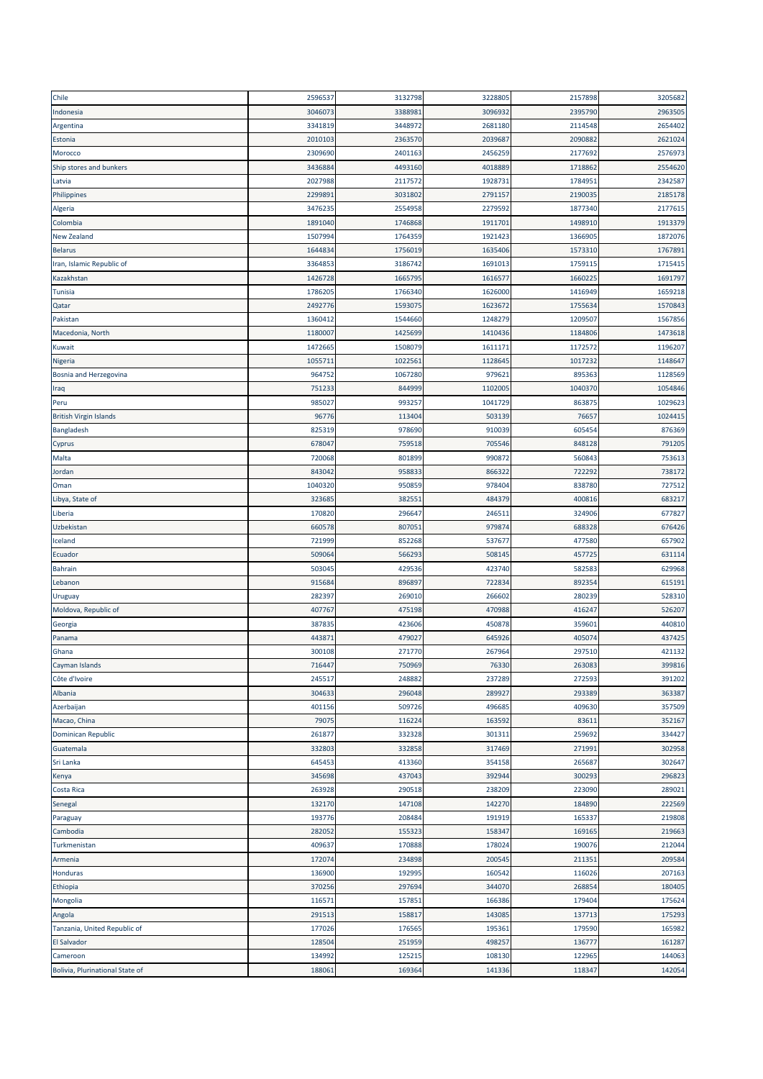| Chile                         | 2596537 | 3132798 | 3228805 | 2157898 | 3205682 |
|-------------------------------|---------|---------|---------|---------|---------|
| Indonesia                     | 304607  | 3388981 | 3096932 | 2395790 | 2963505 |
| Argentina                     | 3341819 | 3448972 | 2681180 | 2114548 | 2654402 |
| Estonia                       | 2010103 | 2363570 | 2039687 | 2090882 | 2621024 |
| Morocco                       | 2309690 | 2401163 | 2456259 | 2177692 | 2576973 |
| Ship stores and bunkers       | 343688  | 4493160 | 4018889 | 1718862 | 2554620 |
| Latvia                        | 2027988 | 2117572 | 1928731 | 1784951 | 2342587 |
| Philippines                   | 2299891 | 3031802 | 2791157 | 2190035 | 2185178 |
| Algeria                       | 3476235 | 2554958 | 2279592 | 1877340 | 2177615 |
| Colombia                      | 1891040 | 1746868 | 1911701 | 1498910 | 1913379 |
| <b>New Zealand</b>            | 1507994 | 1764359 | 1921423 | 1366905 | 1872076 |
| <b>Belarus</b>                | 164483  | 1756019 | 1635406 | 1573310 | 1767891 |
| Iran, Islamic Republic of     | 3364853 | 3186742 | 1691013 | 1759115 | 1715415 |
| Kazakhstan                    | 1426728 | 1665795 | 1616577 | 1660225 | 1691797 |
| <b>Tunisia</b>                | 1786205 | 1766340 | 1626000 | 1416949 | 1659218 |
| Qatar                         | 2492776 | 1593075 | 1623672 | 1755634 | 1570843 |
| Pakistan                      | 1360412 | 1544660 | 1248279 | 1209507 | 1567856 |
| Macedonia, North              | 1180007 | 1425699 | 1410436 | 1184806 | 1473618 |
| Kuwait                        | 1472665 | 1508079 | 1611171 | 1172572 | 1196207 |
| Nigeria                       | 1055711 | 1022561 | 1128645 | 1017232 | 1148647 |
| Bosnia and Herzegovina        | 964752  | 1067280 | 979621  | 895363  | 1128569 |
| Iraq                          | 75123   | 844999  | 1102005 | 1040370 | 1054846 |
| Peru                          | 985027  | 993257  | 1041729 | 863875  | 1029623 |
| <b>British Virgin Islands</b> | 96776   | 113404  | 503139  | 76657   | 1024415 |
| Bangladesh                    | 825319  | 978690  | 910039  | 605454  | 876369  |
| Cyprus                        | 678047  | 759518  | 705546  | 848128  | 791205  |
| Malta                         | 720068  | 801899  | 990872  | 560843  | 753613  |
| Jordan                        | 843042  | 958833  | 866322  | 722292  | 738172  |
| Oman                          | 1040320 | 950859  | 978404  | 838780  | 727512  |
| Libya, State of               | 323685  | 382551  | 484379  | 400816  | 683217  |
| Liberia                       | 170820  | 296647  | 246511  | 324906  | 677827  |
| Uzbekistan                    | 660578  | 807051  | 979874  | 688328  | 676426  |
| Iceland                       | 721999  | 852268  | 537677  | 477580  | 657902  |
| Ecuador                       | 509064  | 566293  | 508145  | 457725  | 631114  |
| <b>Bahrain</b>                | 503045  | 429536  | 423740  | 582583  | 629968  |
| Lebanon                       | 915684  | 896897  | 722834  | 892354  | 615191  |
| Uruguay                       | 282397  | 269010  | 266602  | 280239  | 528310  |
| Moldova, Republic of          | 407767  | 475198  | 470988  | 416247  | 526207  |
| Georgia                       | 387835  | 423606  | 450878  | 359601  | 440810  |
| Panama                        | 443871  | 479027  |         |         |         |
| Ghana                         |         |         | 645926  | 405074  | 437425  |
|                               | 300108  | 271770  | 267964  | 297510  | 421132  |
| Cayman Islands                | 716447  | 750969  | 76330   | 263083  | 399816  |
| Côte d'Ivoire                 | 245517  | 248882  | 237289  | 272593  | 391202  |
| Albania                       | 304633  | 296048  | 289927  | 293389  | 363387  |
| Azerbaijan                    | 401156  | 509726  | 496685  | 409630  | 357509  |
| Macao, China                  | 79075   | 116224  | 163592  | 83611   | 352167  |
| <b>Dominican Republic</b>     | 261877  | 332328  | 301311  | 259692  | 334427  |
| Guatemala                     | 332803  | 332858  | 317469  | 271991  | 302958  |
| Sri Lanka                     | 645453  | 413360  | 354158  | 265687  | 302647  |
| Kenya                         | 345698  | 437043  | 392944  | 300293  | 296823  |
| Costa Rica                    | 263928  | 290518  | 238209  | 223090  | 289021  |
| Senegal                       | 132170  | 147108  | 142270  | 184890  | 222569  |
| Paraguay                      | 193776  | 208484  | 191919  | 165337  | 219808  |
| Cambodia                      | 282052  | 155323  | 158347  | 169165  | 219663  |
| Turkmenistan                  | 409637  | 170888  | 178024  | 190076  | 212044  |
| Armenia                       | 172074  | 234898  | 200545  | 211351  | 209584  |
| Honduras                      | 136900  | 192995  | 160542  | 116026  | 207163  |
| Ethiopia                      | 370256  | 297694  | 344070  | 268854  | 180405  |
| Mongolia                      | 116571  | 157851  | 166386  | 179404  | 175624  |
| Angola                        | 291513  | 158817  | 143085  | 137713  | 175293  |
| Tanzania, United Republic of  | 177026  | 176565  | 195361  | 179590  | 165982  |
| El Salvador                   | 128504  | 251959  | 498257  | 136777  | 161287  |
| Cameroon                      | 134992  | 125215  | 108130  | 122965  | 144063  |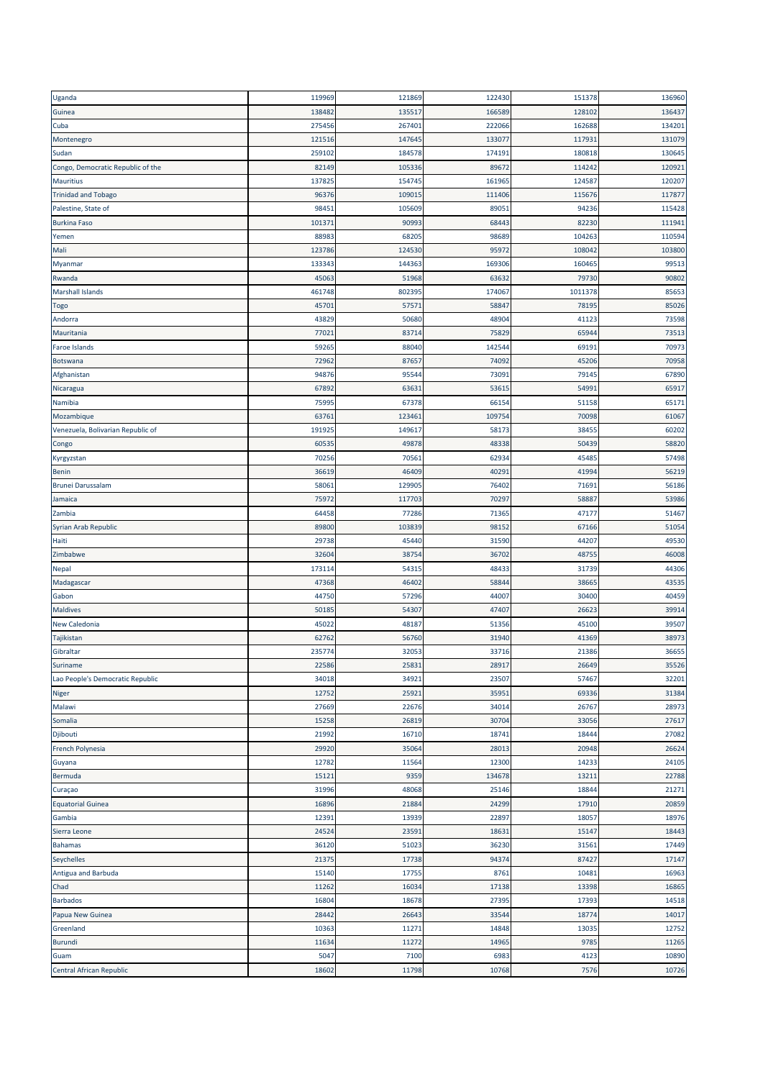| Uganda                            | 119969 | 121869 | 122430 | 151378  | 136960 |
|-----------------------------------|--------|--------|--------|---------|--------|
| Guinea                            | 138482 | 135517 | 166589 | 128102  | 136437 |
| Cuba                              | 275456 | 267401 | 222066 | 162688  | 134201 |
| Montenegro                        | 121516 | 147645 | 133077 | 117931  | 131079 |
| Sudan                             | 259102 | 184578 | 174191 | 180818  | 130645 |
| Congo, Democratic Republic of the | 82149  | 105336 | 89672  | 114242  | 120921 |
| <b>Mauritius</b>                  | 137825 | 154745 | 161965 | 124587  | 120207 |
| <b>Trinidad and Tobago</b>        | 96376  | 109015 | 111406 | 115676  | 117877 |
| Palestine, State of               | 98451  | 105609 | 89051  | 94236   | 115428 |
| <b>Burkina Faso</b>               | 101371 | 90993  | 68443  | 82230   | 111941 |
| Yemen                             | 88983  | 68205  | 98689  | 104263  | 110594 |
| Mali                              | 123786 | 124530 | 95972  | 108042  | 103800 |
| Myanmar                           | 133343 | 144363 | 169306 | 160465  | 99513  |
| Rwanda                            | 45063  | 51968  | 63632  | 79730   | 90802  |
| Marshall Islands                  | 461748 | 802395 | 174067 | 1011378 | 85653  |
| Togo                              | 45701  | 57571  | 58847  | 78195   | 85026  |
| Andorra                           | 43829  | 50680  | 48904  | 41123   | 73598  |
| Mauritania                        | 77021  | 83714  | 75829  | 65944   | 73513  |
| Faroe Islands                     | 59265  | 88040  | 142544 | 69191   | 70973  |
| Botswana                          | 72962  | 87657  | 74092  | 45206   | 70958  |
| Afghanistan                       | 94876  | 95544  | 73091  | 79145   | 67890  |
| Nicaragua                         | 67892  | 63631  | 53615  | 54991   | 65917  |
| Namibia                           | 75995  | 67378  | 66154  | 51158   | 65171  |
| Mozambique                        | 6376   | 123461 | 109754 | 70098   | 61067  |
| Venezuela, Bolivarian Republic of | 191925 | 149617 | 58173  | 38455   | 60202  |
| Congo                             | 60535  | 49878  | 48338  | 50439   | 58820  |
| Kyrgyzstan                        | 70256  | 70561  | 62934  | 45485   | 57498  |
| <b>Benin</b>                      | 36619  | 46409  | 40291  | 41994   | 56219  |
| <b>Brunei Darussalam</b>          | 58061  | 129905 | 76402  | 71691   | 56186  |
| Jamaica                           | 75972  | 117703 | 70297  | 58887   | 53986  |
| Zambia                            | 64458  | 77286  | 71365  | 47177   | 51467  |
| Syrian Arab Republic              | 89800  | 103839 | 98152  | 67166   | 51054  |
| Haiti                             | 29738  | 45440  | 31590  | 44207   | 49530  |
| Zimbabwe                          | 32604  | 38754  | 36702  | 48755   | 46008  |
| Nepal                             | 173114 | 54315  | 48433  | 31739   | 44306  |
| Madagascar                        | 47368  | 46402  | 58844  | 38665   | 43535  |
| Gabon                             | 44750  | 57296  | 44007  | 30400   | 40459  |
| <b>Maldives</b>                   | 50185  | 54307  | 47407  | 26623   | 39914  |
| New Caledonia                     | 45022  | 48187  | 51356  | 45100   | 39507  |
| Tajikistan                        | 62762  | 56760  | 31940  | 41369   | 38973  |
| Gibraltar                         | 235774 | 32053  | 33716  | 21386   | 36655  |
| Suriname                          | 22586  | 25831  | 28917  | 26649   | 35526  |
| Lao People's Democratic Republic  | 34018  | 34921  | 23507  | 57467   | 32201  |
| Niger                             | 12752  | 25921  | 35951  | 69336   | 31384  |
| Malawi                            | 27669  | 22676  | 34014  | 26767   | 28973  |
| Somalia                           | 15258  | 26819  | 30704  | 33056   | 27617  |
| Djibouti                          | 21992  | 16710  | 18741  | 18444   | 27082  |
| French Polynesia                  | 29920  | 35064  | 28013  | 20948   | 26624  |
| Guyana                            | 12782  | 11564  | 12300  | 14233   | 24105  |
| Bermuda                           | 15121  | 9359   | 134678 | 13211   | 22788  |
| Curaçao                           | 31996  | 48068  | 25146  | 18844   | 21271  |
| <b>Equatorial Guinea</b>          | 16896  | 21884  | 24299  | 17910   | 20859  |
| Gambia                            | 12391  | 13939  | 22897  | 18057   | 18976  |
| Sierra Leone                      | 24524  | 23591  | 18631  | 15147   | 18443  |
| <b>Bahamas</b>                    | 36120  | 51023  | 36230  | 31561   | 17449  |
| Seychelles                        | 21375  | 17738  | 94374  | 87427   | 17147  |
| Antigua and Barbuda               | 15140  | 17755  | 8761   | 10481   | 16963  |
| Chad                              | 11262  | 16034  | 17138  | 13398   | 16865  |
| Barbados                          | 16804  | 18678  | 27395  | 17393   | 14518  |
| Papua New Guinea                  | 28442  | 26643  | 33544  | 18774   | 14017  |
| Greenland                         | 10363  | 11271  | 14848  | 13035   | 12752  |
| Burundi                           | 11634  | 11272  | 14965  | 9785    | 11265  |
| Guam                              | 5047   | 7100   | 6983   | 4123    | 10890  |
| Central African Republic          | 18602  | 11798  | 10768  | 7576    | 10726  |